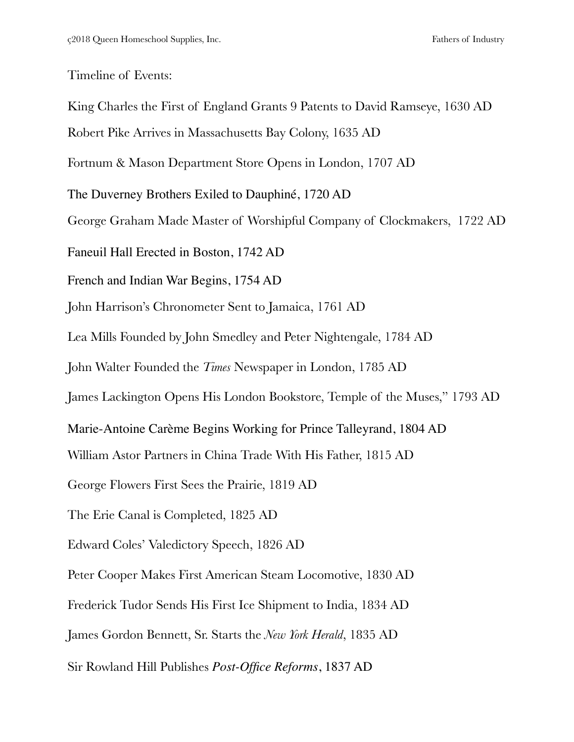Timeline of Events:

King Charles the First of England Grants 9 Patents to David Ramseye, 1630 AD Robert Pike Arrives in Massachusetts Bay Colony, 1635 AD Fortnum & Mason Department Store Opens in London, 1707 AD The Duverney Brothers Exiled to Dauphiné, 1720 AD George Graham Made Master of Worshipful Company of Clockmakers, 1722 AD Faneuil Hall Erected in Boston, 1742 AD French and Indian War Begins, 1754 AD John Harrison's Chronometer Sent to Jamaica, 1761 AD Lea Mills Founded by John Smedley and Peter Nightengale, 1784 AD John Walter Founded the *Times* Newspaper in London, 1785 AD James Lackington Opens His London Bookstore, Temple of the Muses," 1793 AD Marie-Antoine Carème Begins Working for Prince Talleyrand, 1804 AD William Astor Partners in China Trade With His Father, 1815 AD George Flowers First Sees the Prairie, 1819 AD The Erie Canal is Completed, 1825 AD Edward Coles' Valedictory Speech, 1826 AD Peter Cooper Makes First American Steam Locomotive, 1830 AD Frederick Tudor Sends His First Ice Shipment to India, 1834 AD James Gordon Bennett, Sr. Starts the *New York Herald*, 1835 AD Sir Rowland Hill Publishes *Post-Office Reforms*, 1837 AD